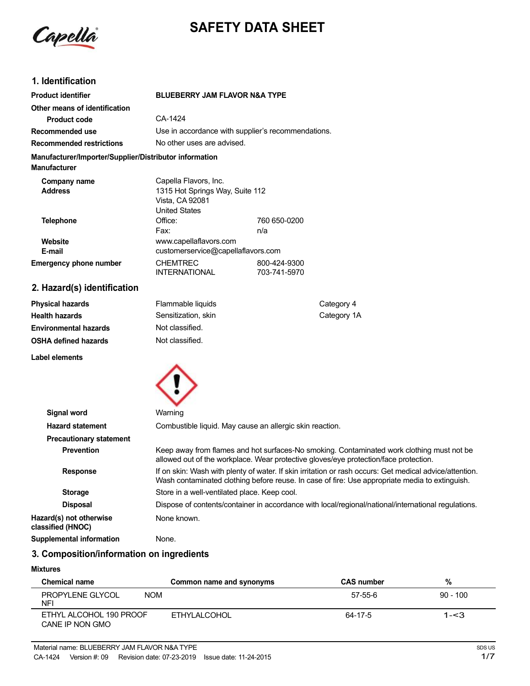

# **SAFETY DATA SHEET**

# **1. Identification**

| <b>Product identifier</b>                                                     | <b>BLUEBERRY JAM FLAVOR N&amp;A TYPE</b>           |                            |  |
|-------------------------------------------------------------------------------|----------------------------------------------------|----------------------------|--|
| Other means of identification                                                 |                                                    |                            |  |
| <b>Product code</b>                                                           | CA-1424                                            |                            |  |
| Recommended use                                                               | Use in accordance with supplier's recommendations. |                            |  |
| <b>Recommended restrictions</b>                                               |                                                    | No other uses are advised. |  |
| Manufacturer/Importer/Supplier/Distributor information<br><b>Manufacturer</b> |                                                    |                            |  |
| Company name                                                                  | Capella Flavors, Inc.                              |                            |  |
| <b>Address</b>                                                                | 1315 Hot Springs Way, Suite 112                    |                            |  |
|                                                                               | Vista, CA 92081                                    |                            |  |
|                                                                               | <b>United States</b>                               |                            |  |
| <b>Telephone</b>                                                              | Office:                                            | 760 650-0200               |  |
|                                                                               | Fax:                                               | n/a                        |  |
| Website                                                                       | www.capellaflavors.com                             |                            |  |
| E-mail                                                                        | customerservice@capellaflavors.com                 |                            |  |
| <b>Emergency phone number</b>                                                 | <b>CHEMTREC</b>                                    | 800-424-9300               |  |
|                                                                               | <b>INTERNATIONAL</b>                               | 703-741-5970               |  |
|                                                                               |                                                    |                            |  |

# **2. Hazard(s) identification**

| <b>Physical hazards</b> | Flammable liquids   | Category 4  |
|-------------------------|---------------------|-------------|
| Health hazards          | Sensitization, skin | Category 1A |
| Environmental hazards   | Not classified.     |             |
| OSHA defined hazards    | Not classified.     |             |
|                         |                     |             |

**Label elements**



| Signal word                                  | Warning                                                                                                                                                                                                   |
|----------------------------------------------|-----------------------------------------------------------------------------------------------------------------------------------------------------------------------------------------------------------|
| <b>Hazard statement</b>                      | Combustible liquid. May cause an allergic skin reaction.                                                                                                                                                  |
| <b>Precautionary statement</b>               |                                                                                                                                                                                                           |
| <b>Prevention</b>                            | Keep away from flames and hot surfaces-No smoking. Contaminated work clothing must not be<br>allowed out of the workplace. Wear protective gloves/eye protection/face protection.                         |
| <b>Response</b>                              | If on skin: Wash with plenty of water. If skin irritation or rash occurs: Get medical advice/attention.<br>Wash contaminated clothing before reuse. In case of fire: Use appropriate media to extinguish. |
| <b>Storage</b>                               | Store in a well-ventilated place. Keep cool.                                                                                                                                                              |
| <b>Disposal</b>                              | Dispose of contents/container in accordance with local/regional/national/international regulations.                                                                                                       |
| Hazard(s) not otherwise<br>classified (HNOC) | None known.                                                                                                                                                                                               |
| Supplemental information                     | None.                                                                                                                                                                                                     |

# **3. Composition/information on ingredients**

# **Mixtures**

| <b>Chemical name</b>                         | Common name and synonyms | <b>CAS number</b> | %          |
|----------------------------------------------|--------------------------|-------------------|------------|
| PROPYLENE GLYCOL<br><b>NOM</b><br><b>NFI</b> |                          | 57-55-6           | $90 - 100$ |
| ETHYL ALCOHOL 190 PROOF<br>CANE IP NON GMO   | ETHYLALCOHOL             | 64-17-5           | $1 - 3$    |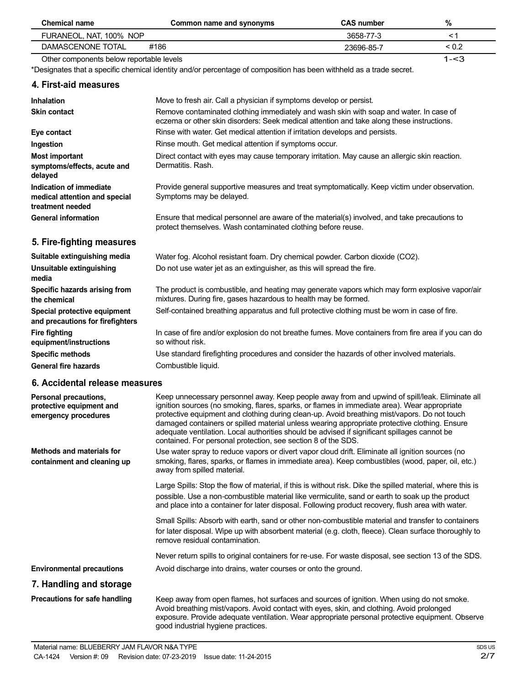| <b>Chemical name</b>                                                         | Common name and synonyms                                                                                                                                                                                                                                                                                                                                                                                                                                                                                                                                         | <b>CAS number</b> | $\%$       |
|------------------------------------------------------------------------------|------------------------------------------------------------------------------------------------------------------------------------------------------------------------------------------------------------------------------------------------------------------------------------------------------------------------------------------------------------------------------------------------------------------------------------------------------------------------------------------------------------------------------------------------------------------|-------------------|------------|
| FURANEOL, NAT, 100% NOP                                                      |                                                                                                                                                                                                                                                                                                                                                                                                                                                                                                                                                                  | 3658-77-3         | < 1        |
| DAMASCENONE TOTAL                                                            | #186                                                                                                                                                                                                                                                                                                                                                                                                                                                                                                                                                             | 23696-85-7        | ${}_{0.2}$ |
| Other components below reportable levels                                     |                                                                                                                                                                                                                                                                                                                                                                                                                                                                                                                                                                  |                   | $1 - 3$    |
|                                                                              | *Designates that a specific chemical identity and/or percentage of composition has been withheld as a trade secret.                                                                                                                                                                                                                                                                                                                                                                                                                                              |                   |            |
| 4. First-aid measures                                                        |                                                                                                                                                                                                                                                                                                                                                                                                                                                                                                                                                                  |                   |            |
| <b>Inhalation</b>                                                            | Move to fresh air. Call a physician if symptoms develop or persist.                                                                                                                                                                                                                                                                                                                                                                                                                                                                                              |                   |            |
| <b>Skin contact</b>                                                          | Remove contaminated clothing immediately and wash skin with soap and water. In case of<br>eczema or other skin disorders: Seek medical attention and take along these instructions.                                                                                                                                                                                                                                                                                                                                                                              |                   |            |
| Eye contact                                                                  | Rinse with water. Get medical attention if irritation develops and persists.                                                                                                                                                                                                                                                                                                                                                                                                                                                                                     |                   |            |
| Ingestion                                                                    | Rinse mouth. Get medical attention if symptoms occur.                                                                                                                                                                                                                                                                                                                                                                                                                                                                                                            |                   |            |
| <b>Most important</b><br>symptoms/effects, acute and<br>delayed              | Direct contact with eyes may cause temporary irritation. May cause an allergic skin reaction.<br>Dermatitis, Rash.                                                                                                                                                                                                                                                                                                                                                                                                                                               |                   |            |
| Indication of immediate<br>medical attention and special<br>treatment needed | Provide general supportive measures and treat symptomatically. Keep victim under observation.<br>Symptoms may be delayed.                                                                                                                                                                                                                                                                                                                                                                                                                                        |                   |            |
| <b>General information</b>                                                   | Ensure that medical personnel are aware of the material(s) involved, and take precautions to<br>protect themselves. Wash contaminated clothing before reuse.                                                                                                                                                                                                                                                                                                                                                                                                     |                   |            |
| 5. Fire-fighting measures                                                    |                                                                                                                                                                                                                                                                                                                                                                                                                                                                                                                                                                  |                   |            |
| Suitable extinguishing media                                                 | Water fog. Alcohol resistant foam. Dry chemical powder. Carbon dioxide (CO2).                                                                                                                                                                                                                                                                                                                                                                                                                                                                                    |                   |            |
| Unsuitable extinguishing<br>media                                            | Do not use water jet as an extinguisher, as this will spread the fire.                                                                                                                                                                                                                                                                                                                                                                                                                                                                                           |                   |            |
| Specific hazards arising from<br>the chemical                                | The product is combustible, and heating may generate vapors which may form explosive vapor/air<br>mixtures. During fire, gases hazardous to health may be formed.                                                                                                                                                                                                                                                                                                                                                                                                |                   |            |
| Special protective equipment<br>and precautions for firefighters             | Self-contained breathing apparatus and full protective clothing must be worn in case of fire.                                                                                                                                                                                                                                                                                                                                                                                                                                                                    |                   |            |
| <b>Fire fighting</b><br>equipment/instructions                               | In case of fire and/or explosion do not breathe fumes. Move containers from fire area if you can do<br>so without risk.                                                                                                                                                                                                                                                                                                                                                                                                                                          |                   |            |
| <b>Specific methods</b>                                                      | Use standard firefighting procedures and consider the hazards of other involved materials.                                                                                                                                                                                                                                                                                                                                                                                                                                                                       |                   |            |
| <b>General fire hazards</b>                                                  | Combustible liquid.                                                                                                                                                                                                                                                                                                                                                                                                                                                                                                                                              |                   |            |
| 6. Accidental release measures                                               |                                                                                                                                                                                                                                                                                                                                                                                                                                                                                                                                                                  |                   |            |
| Personal precautions,<br>protective equipment and<br>emergency procedures    | Keep unnecessary personnel away. Keep people away from and upwind of spill/leak. Eliminate all<br>ignition sources (no smoking, flares, sparks, or flames in immediate area). Wear appropriate<br>protective equipment and clothing during clean-up. Avoid breathing mist/vapors. Do not touch<br>damaged containers or spilled material unless wearing appropriate protective clothing. Ensure<br>adequate ventilation. Local authorities should be advised if significant spillages cannot be<br>contained. For personal protection, see section 8 of the SDS. |                   |            |
| <b>Methods and materials for</b><br>containment and cleaning up              | Use water spray to reduce vapors or divert vapor cloud drift. Eliminate all ignition sources (no<br>smoking, flares, sparks, or flames in immediate area). Keep combustibles (wood, paper, oil, etc.)<br>away from spilled material.                                                                                                                                                                                                                                                                                                                             |                   |            |
|                                                                              | Large Spills: Stop the flow of material, if this is without risk. Dike the spilled material, where this is<br>possible. Use a non-combustible material like vermiculite, sand or earth to soak up the product<br>and place into a container for later disposal. Following product recovery, flush area with water.                                                                                                                                                                                                                                               |                   |            |
|                                                                              | Small Spills: Absorb with earth, sand or other non-combustible material and transfer to containers<br>for later disposal. Wipe up with absorbent material (e.g. cloth, fleece). Clean surface thoroughly to<br>remove residual contamination.                                                                                                                                                                                                                                                                                                                    |                   |            |
|                                                                              | Never return spills to original containers for re-use. For waste disposal, see section 13 of the SDS.                                                                                                                                                                                                                                                                                                                                                                                                                                                            |                   |            |
| <b>Environmental precautions</b>                                             | Avoid discharge into drains, water courses or onto the ground.                                                                                                                                                                                                                                                                                                                                                                                                                                                                                                   |                   |            |
| 7. Handling and storage                                                      |                                                                                                                                                                                                                                                                                                                                                                                                                                                                                                                                                                  |                   |            |
|                                                                              |                                                                                                                                                                                                                                                                                                                                                                                                                                                                                                                                                                  |                   |            |

**Precautions for safe handling** Keep away from open flames, hot surfaces and sources of ignition. When using do not smoke. Avoid breathing mist/vapors. Avoid contact with eyes, skin, and clothing. Avoid prolonged exposure. Provide adequate ventilation. Wear appropriate personal protective equipment. Observe good industrial hygiene practices.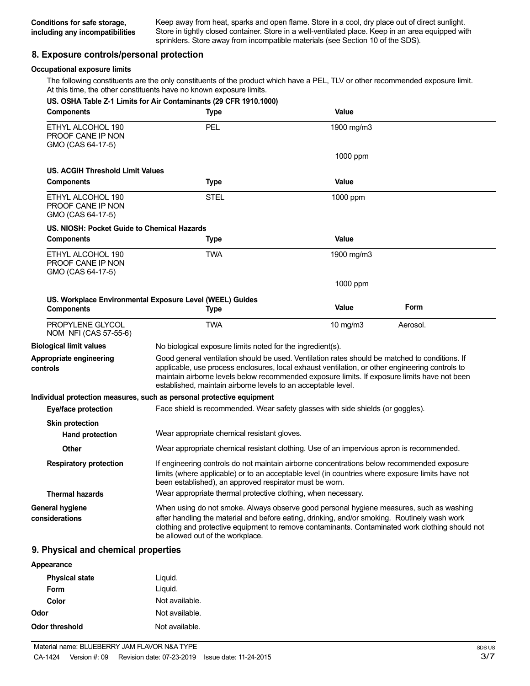Keep away from heat, sparks and open flame. Store in a cool, dry place out of direct sunlight. Store in tightly closed container. Store in a well-ventilated place. Keep in an area equipped with sprinklers. Store away from incompatible materials (see Section 10 of the SDS).

# **8. Exposure controls/personal protection**

# **Occupational exposure limits**

The following constituents are the only constituents of the product which have a PEL, TLV or other recommended exposure limit. At this time, the other constituents have no known exposure limits.

| <b>Components</b>                                           | US. OSHA Table Z-1 Limits for Air Contaminants (29 CFR 1910.1000)<br><b>Type</b>                                                                                                                                                                                                                                                                                   | Value         |          |
|-------------------------------------------------------------|--------------------------------------------------------------------------------------------------------------------------------------------------------------------------------------------------------------------------------------------------------------------------------------------------------------------------------------------------------------------|---------------|----------|
| ETHYL ALCOHOL 190<br>PROOF CANE IP NON<br>GMO (CAS 64-17-5) | PEL                                                                                                                                                                                                                                                                                                                                                                | 1900 mg/m3    |          |
|                                                             |                                                                                                                                                                                                                                                                                                                                                                    | 1000 ppm      |          |
| US. ACGIH Threshold Limit Values                            |                                                                                                                                                                                                                                                                                                                                                                    |               |          |
| <b>Components</b>                                           | <b>Type</b>                                                                                                                                                                                                                                                                                                                                                        | Value         |          |
| ETHYL ALCOHOL 190<br>PROOF CANE IP NON<br>GMO (CAS 64-17-5) | <b>STEL</b>                                                                                                                                                                                                                                                                                                                                                        | 1000 ppm      |          |
| US. NIOSH: Pocket Guide to Chemical Hazards                 |                                                                                                                                                                                                                                                                                                                                                                    |               |          |
| <b>Components</b>                                           | <b>Type</b>                                                                                                                                                                                                                                                                                                                                                        | Value         |          |
| ETHYL ALCOHOL 190<br>PROOF CANE IP NON<br>GMO (CAS 64-17-5) | <b>TWA</b>                                                                                                                                                                                                                                                                                                                                                         | 1900 mg/m $3$ |          |
|                                                             |                                                                                                                                                                                                                                                                                                                                                                    | 1000 ppm      |          |
|                                                             | US. Workplace Environmental Exposure Level (WEEL) Guides                                                                                                                                                                                                                                                                                                           |               |          |
| <b>Components</b>                                           | <b>Type</b>                                                                                                                                                                                                                                                                                                                                                        | Value         | Form     |
| PROPYLENE GLYCOL<br>NOM NFI (CAS 57-55-6)                   | <b>TWA</b>                                                                                                                                                                                                                                                                                                                                                         | 10 mg/m3      | Aerosol. |
| <b>Biological limit values</b>                              | No biological exposure limits noted for the ingredient(s).                                                                                                                                                                                                                                                                                                         |               |          |
| Appropriate engineering<br>controls                         | Good general ventilation should be used. Ventilation rates should be matched to conditions. If<br>applicable, use process enclosures, local exhaust ventilation, or other engineering controls to<br>maintain airborne levels below recommended exposure limits. If exposure limits have not been<br>established, maintain airborne levels to an acceptable level. |               |          |
|                                                             | Individual protection measures, such as personal protective equipment                                                                                                                                                                                                                                                                                              |               |          |
| <b>Eye/face protection</b>                                  | Face shield is recommended. Wear safety glasses with side shields (or goggles).                                                                                                                                                                                                                                                                                    |               |          |
| <b>Skin protection</b>                                      |                                                                                                                                                                                                                                                                                                                                                                    |               |          |
| <b>Hand protection</b>                                      | Wear appropriate chemical resistant gloves.                                                                                                                                                                                                                                                                                                                        |               |          |
| <b>Other</b>                                                | Wear appropriate chemical resistant clothing. Use of an impervious apron is recommended.                                                                                                                                                                                                                                                                           |               |          |
| <b>Respiratory protection</b>                               | If engineering controls do not maintain airborne concentrations below recommended exposure<br>limits (where applicable) or to an acceptable level (in countries where exposure limits have not<br>been established), an approved respirator must be worn.                                                                                                          |               |          |
| <b>Thermal hazards</b>                                      | Wear appropriate thermal protective clothing, when necessary.                                                                                                                                                                                                                                                                                                      |               |          |
| <b>General hygiene</b><br>considerations                    | When using do not smoke. Always observe good personal hygiene measures, such as washing<br>after handling the material and before eating, drinking, and/or smoking. Routinely wash work<br>clothing and protective equipment to remove contaminants. Contaminated work clothing should not<br>be allowed out of the workplace.                                     |               |          |

# **9. Physical and chemical properties**

| Appearance            |                |
|-----------------------|----------------|
| <b>Physical state</b> | Liquid.        |
| Form                  | Liquid.        |
| Color                 | Not available. |
| Odor                  | Not available. |
| Odor threshold        | Not available. |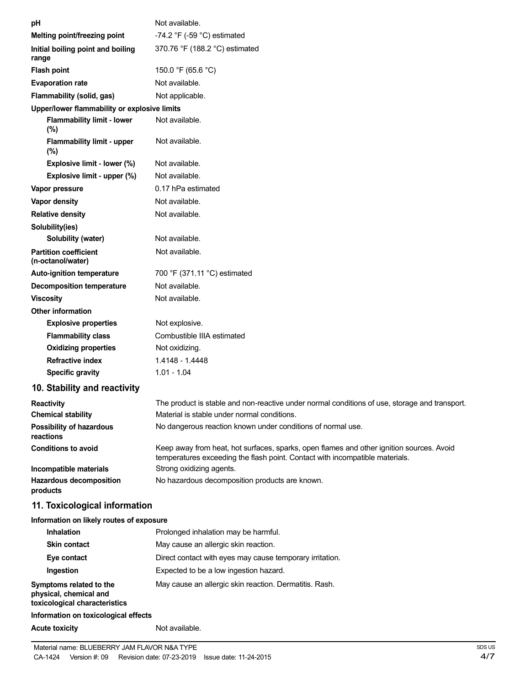| рH                                                | Not available.                                                                                                                                                           |
|---------------------------------------------------|--------------------------------------------------------------------------------------------------------------------------------------------------------------------------|
| Melting point/freezing point                      | -74.2 °F (-59 °C) estimated                                                                                                                                              |
| Initial boiling point and boiling<br>range        | 370.76 °F (188.2 °C) estimated                                                                                                                                           |
| <b>Flash point</b>                                | 150.0 °F (65.6 °C)                                                                                                                                                       |
| <b>Evaporation rate</b>                           | Not available.                                                                                                                                                           |
| Flammability (solid, gas)                         | Not applicable.                                                                                                                                                          |
| Upper/lower flammability or explosive limits      |                                                                                                                                                                          |
| <b>Flammability limit - lower</b><br>(%)          | Not available.                                                                                                                                                           |
| <b>Flammability limit - upper</b><br>$(\%)$       | Not available.                                                                                                                                                           |
| Explosive limit - lower (%)                       | Not available.                                                                                                                                                           |
| Explosive limit - upper (%)                       | Not available.                                                                                                                                                           |
| Vapor pressure                                    | 0.17 hPa estimated                                                                                                                                                       |
| Vapor density                                     | Not available.                                                                                                                                                           |
| <b>Relative density</b>                           | Not available.                                                                                                                                                           |
| Solubility(ies)                                   |                                                                                                                                                                          |
| Solubility (water)                                | Not available.                                                                                                                                                           |
| <b>Partition coefficient</b><br>(n-octanol/water) | Not available.                                                                                                                                                           |
| Auto-ignition temperature                         | 700 °F (371.11 °C) estimated                                                                                                                                             |
| <b>Decomposition temperature</b>                  | Not available.                                                                                                                                                           |
| <b>Viscosity</b>                                  | Not available.                                                                                                                                                           |
| <b>Other information</b>                          |                                                                                                                                                                          |
| <b>Explosive properties</b>                       | Not explosive.                                                                                                                                                           |
| <b>Flammability class</b>                         | Combustible IIIA estimated                                                                                                                                               |
| <b>Oxidizing properties</b>                       | Not oxidizing.                                                                                                                                                           |
| <b>Refractive index</b>                           | 1.4148 - 1.4448                                                                                                                                                          |
| <b>Specific gravity</b>                           | $1.01 - 1.04$                                                                                                                                                            |
| 10. Stability and reactivity                      |                                                                                                                                                                          |
| Reactivity                                        | The product is stable and non-reactive under normal conditions of use, storage and transport.                                                                            |
| <b>Chemical stability</b>                         | Material is stable under normal conditions.                                                                                                                              |
| Possibility of hazardous                          | No dangerous reaction known under conditions of normal use.                                                                                                              |
| reactions<br><b>Conditions to avoid</b>           | Keep away from heat, hot surfaces, sparks, open flames and other ignition sources. Avoid<br>temperatures exceeding the flash point. Contact with incompatible materials. |
| Incompatible materials                            | Strong oxidizing agents.                                                                                                                                                 |
| <b>Hazardous decomposition</b><br>products        | No hazardous decomposition products are known.                                                                                                                           |
| 11. Toxicological information                     |                                                                                                                                                                          |
| Information on likely routes of exposure          |                                                                                                                                                                          |
| <b>Inhalation</b>                                 | Prolonged inhalation may be harmful.                                                                                                                                     |
| <b>Skin contact</b>                               | May cause an allergic skin reaction.                                                                                                                                     |
| Eye contact                                       | Direct contact with eyes may cause temporary irritation.                                                                                                                 |
| Ingestion                                         | Expected to be a low ingestion hazard.                                                                                                                                   |

# **Information on toxicological effects**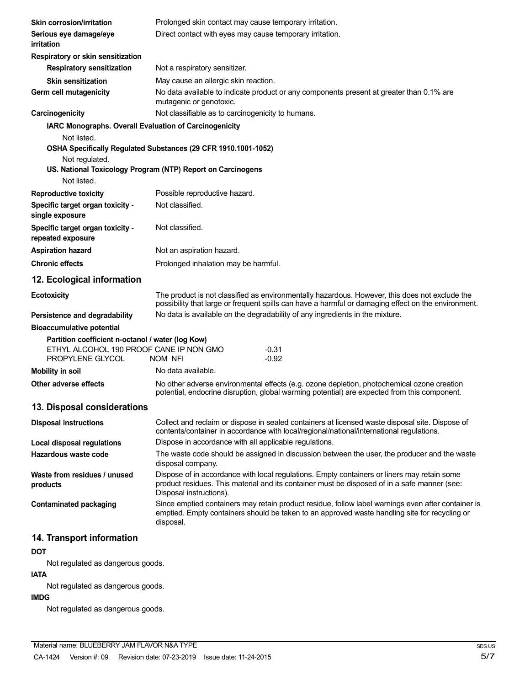| Skin corrosion/irritation                                                                                        | Prolonged skin contact may cause temporary irritation.                                                                                                                                                                 |  |  |
|------------------------------------------------------------------------------------------------------------------|------------------------------------------------------------------------------------------------------------------------------------------------------------------------------------------------------------------------|--|--|
| Serious eye damage/eye<br>irritation                                                                             | Direct contact with eyes may cause temporary irritation.                                                                                                                                                               |  |  |
| Respiratory or skin sensitization                                                                                |                                                                                                                                                                                                                        |  |  |
| <b>Respiratory sensitization</b>                                                                                 | Not a respiratory sensitizer.                                                                                                                                                                                          |  |  |
| <b>Skin sensitization</b>                                                                                        | May cause an allergic skin reaction.                                                                                                                                                                                   |  |  |
| Germ cell mutagenicity                                                                                           | No data available to indicate product or any components present at greater than 0.1% are<br>mutagenic or genotoxic.                                                                                                    |  |  |
| Carcinogenicity                                                                                                  | Not classifiable as to carcinogenicity to humans.                                                                                                                                                                      |  |  |
| IARC Monographs. Overall Evaluation of Carcinogenicity                                                           |                                                                                                                                                                                                                        |  |  |
| Not listed.<br>Not regulated.<br>Not listed.                                                                     | OSHA Specifically Regulated Substances (29 CFR 1910.1001-1052)<br>US. National Toxicology Program (NTP) Report on Carcinogens                                                                                          |  |  |
| <b>Reproductive toxicity</b>                                                                                     | Possible reproductive hazard.                                                                                                                                                                                          |  |  |
| Specific target organ toxicity -<br>single exposure                                                              | Not classified.                                                                                                                                                                                                        |  |  |
| Specific target organ toxicity -<br>repeated exposure                                                            | Not classified.                                                                                                                                                                                                        |  |  |
| <b>Aspiration hazard</b>                                                                                         | Not an aspiration hazard.                                                                                                                                                                                              |  |  |
| <b>Chronic effects</b>                                                                                           | Prolonged inhalation may be harmful.                                                                                                                                                                                   |  |  |
| 12. Ecological information                                                                                       |                                                                                                                                                                                                                        |  |  |
| <b>Ecotoxicity</b>                                                                                               | The product is not classified as environmentally hazardous. However, this does not exclude the<br>possibility that large or frequent spills can have a harmful or damaging effect on the environment.                  |  |  |
| Persistence and degradability                                                                                    | No data is available on the degradability of any ingredients in the mixture.                                                                                                                                           |  |  |
| <b>Bioaccumulative potential</b>                                                                                 |                                                                                                                                                                                                                        |  |  |
| Partition coefficient n-octanol / water (log Kow)<br>ETHYL ALCOHOL 190 PROOF CANE IP NON GMO<br>PROPYLENE GLYCOL | $-0.31$<br>$-0.92$<br>NOM NFI                                                                                                                                                                                          |  |  |
| <b>Mobility in soil</b>                                                                                          | No data available.                                                                                                                                                                                                     |  |  |
| <b>Other adverse effects</b>                                                                                     | No other adverse environmental effects (e.g. ozone depletion, photochemical ozone creation<br>potential, endocrine disruption, global warming potential) are expected from this component.                             |  |  |
| 13. Disposal considerations                                                                                      |                                                                                                                                                                                                                        |  |  |
| <b>Disposal instructions</b>                                                                                     | Collect and reclaim or dispose in sealed containers at licensed waste disposal site. Dispose of<br>contents/container in accordance with local/regional/national/international regulations.                            |  |  |
| <b>Local disposal regulations</b>                                                                                | Dispose in accordance with all applicable regulations.                                                                                                                                                                 |  |  |
| Hazardous waste code                                                                                             | The waste code should be assigned in discussion between the user, the producer and the waste<br>disposal company.                                                                                                      |  |  |
| Waste from residues / unused<br>products                                                                         | Dispose of in accordance with local regulations. Empty containers or liners may retain some<br>product residues. This material and its container must be disposed of in a safe manner (see:<br>Disposal instructions). |  |  |
| <b>Contaminated packaging</b>                                                                                    | Since emptied containers may retain product residue, follow label warnings even after container is<br>emptied. Empty containers should be taken to an approved waste handling site for recycling or<br>disposal.       |  |  |
| 14. Transport information                                                                                        |                                                                                                                                                                                                                        |  |  |

# **DOT**

Not regulated as dangerous goods.

# **IATA**

Not regulated as dangerous goods.

# **IMDG**

Not regulated as dangerous goods.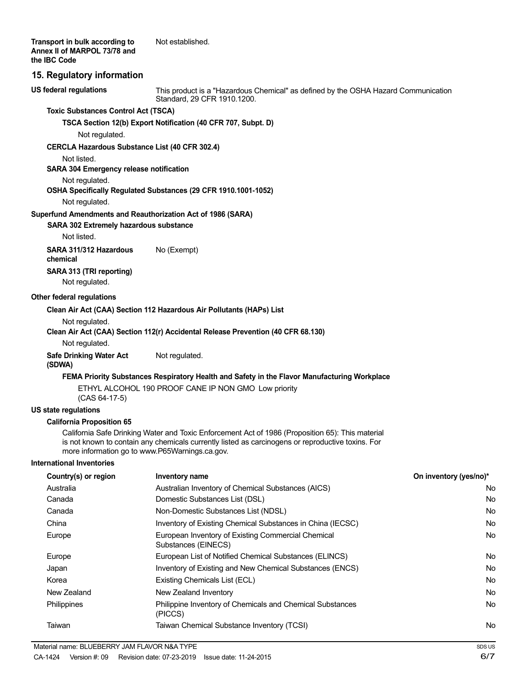# **15. Regulatory information**

**US federal regulations**

This product is a "Hazardous Chemical" as defined by the OSHA Hazard Communication Standard, 29 CFR 1910.1200.

### **Toxic Substances Control Act (TSCA)**

**TSCA Section 12(b) Export Notification (40 CFR 707, Subpt. D)**

Not regulated.

#### **CERCLA Hazardous Substance List (40 CFR 302.4)**

Not listed.

# **SARA 304 Emergency release notification**

Not regulated.

# **OSHA Specifically Regulated Substances (29 CFR 1910.1001-1052)**

Not regulated.

#### **Superfund Amendments and Reauthorization Act of 1986 (SARA)**

**SARA 302 Extremely hazardous substance**

Not listed.

**SARA 311/312 Hazardous** No (Exempt) **chemical SARA 313 (TRI reporting)** Not regulated.

#### **Other federal regulations**

#### **Clean Air Act (CAA) Section 112 Hazardous Air Pollutants (HAPs) List**

Not regulated.

### **Clean Air Act (CAA) Section 112(r) Accidental Release Prevention (40 CFR 68.130)**

Not regulated.

#### **Safe Drinking Water Act** Not regulated. **(SDWA)**

### **FEMA Priority Substances Respiratory Health and Safety in the Flavor Manufacturing Workplace**

ETHYL ALCOHOL 190 PROOF CANE IP NON GMO Low priority (CAS 64-17-5)

# **US state regulations**

#### **California Proposition 65**

California Safe Drinking Water and Toxic Enforcement Act of 1986 (Proposition 65): This material is not known to contain any chemicals currently listed as carcinogens or reproductive toxins. For more information go to www.P65Warnings.ca.gov.

#### **International Inventories**

| Country(s) or region | Inventory name                                                              | On inventory (yes/no)* |
|----------------------|-----------------------------------------------------------------------------|------------------------|
| Australia            | Australian Inventory of Chemical Substances (AICS)                          | No                     |
| Canada               | Domestic Substances List (DSL)                                              | No                     |
| Canada               | Non-Domestic Substances List (NDSL)                                         | No                     |
| China                | Inventory of Existing Chemical Substances in China (IECSC)                  | No                     |
| Europe               | European Inventory of Existing Commercial Chemical<br>Substances (EINECS)   | No                     |
| Europe               | European List of Notified Chemical Substances (ELINCS)                      | No                     |
| Japan                | Inventory of Existing and New Chemical Substances (ENCS)                    | No                     |
| Korea                | Existing Chemicals List (ECL)                                               | No                     |
| New Zealand          | New Zealand Inventory                                                       | No                     |
| <b>Philippines</b>   | <b>Philippine Inventory of Chemicals and Chemical Substances</b><br>(PICCS) | No                     |
| Taiwan               | Taiwan Chemical Substance Inventory (TCSI)                                  | No                     |